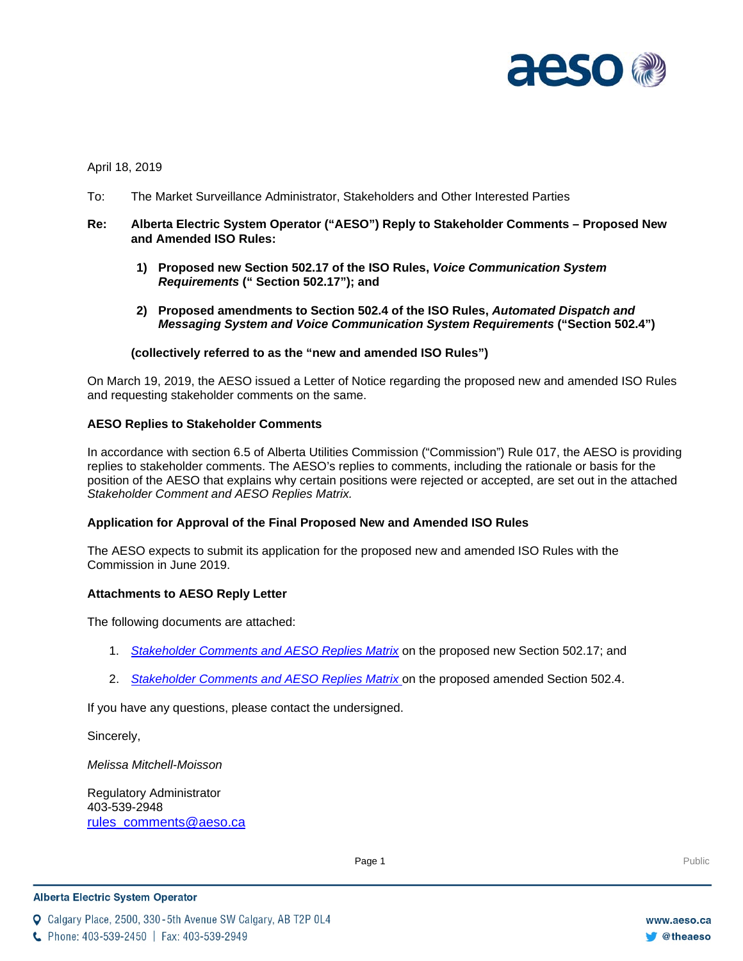

## April 18, 2019

To: The Market Surveillance Administrator, Stakeholders and Other Interested Parties

### **Re: Alberta Electric System Operator ("AESO") Reply to Stakeholder Comments – Proposed New and Amended ISO Rules:**

- **1) Proposed new Section 502.17 of the ISO Rules,** *Voice Communication System Requirements* **(" Section 502.17"); and**
- **2) Proposed amendments to Section 502.4 of the ISO Rules,** *Automated Dispatch and Messaging System and Voice Communication System Requirements* **("Section 502.4")**

#### **(collectively referred to as the "new and amended ISO Rules")**

On March 19, 2019, the AESO issued a Letter of Notice regarding the proposed new and amended ISO Rules and requesting stakeholder comments on the same.

### **AESO Replies to Stakeholder Comments**

In accordance with section 6.5 of Alberta Utilities Commission ("Commission") Rule 017, the AESO is providing replies to stakeholder comments. The AESO's replies to comments, including the rationale or basis for the position of the AESO that explains why certain positions were rejected or accepted, are set out in the attached *Stakeholder Comment and AESO Replies Matrix.*

### **Application for Approval of the Final Proposed New and Amended ISO Rules**

The AESO expects to submit its application for the proposed new and amended ISO Rules with the Commission in June 2019.

### **Attachments to AESO Reply Letter**

The following documents are attached:

- 1. *Stakeholder Comments and AESO Replies Matrix* on the proposed new Section 502.17; and
- 2. *Stakeholder Comments and AESO Replies Matrix* on the proposed amended Section 502.4.

If you have any questions, please contact the undersigned.

Sincerely,

*Melissa Mitchell-Moisson*

Regulatory Administrator 403-539-2948 [rules\\_comments@aeso.ca](mailto:rules_comments@aeso.ca)

Page 1 Public Public Public Public Public Public Public Public Public Public Public Public Public Public Public Public Public Public Public Public Public Public Public Public Public Public Public Public Public Public Publi

#### **Alberta Electric System Operator**

Calgary Place, 2500, 330-5th Avenue SW Calgary, AB T2P 0L4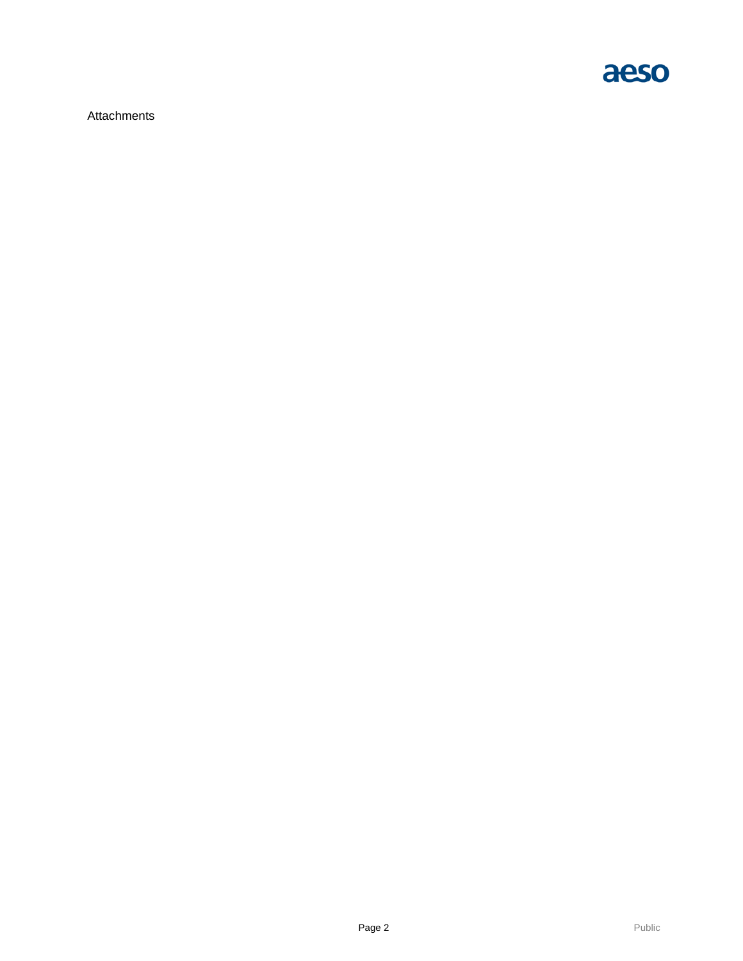

**Attachments**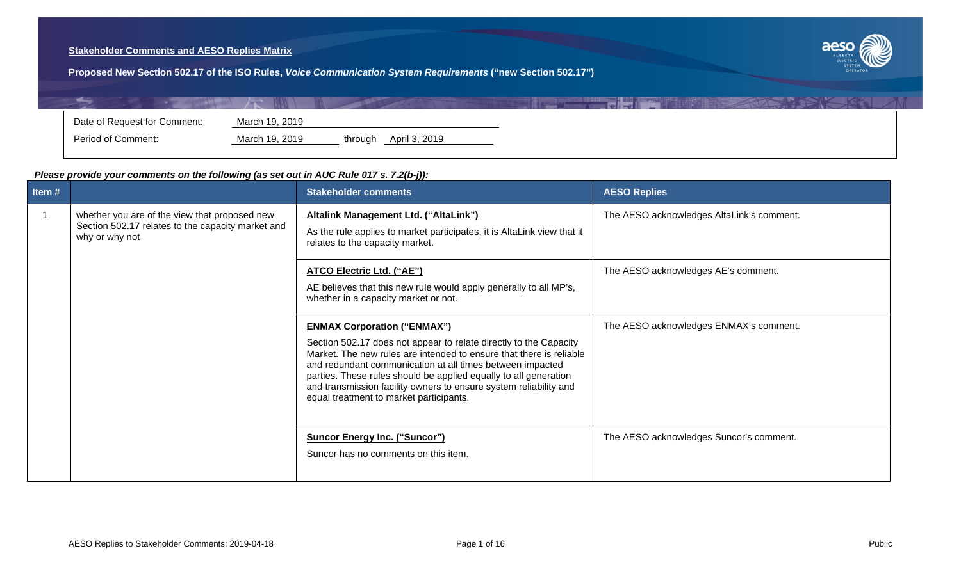# **Stakeholder Comments and AESO Replies Matrix**



**Proposed New Section 502.17 of the ISO Rules,** *Voice Communication System Requirements* **("new Section 502.17")**

| Date of Request for Comment:<br>March 19, 2019 |                    |                |         |               |  |
|------------------------------------------------|--------------------|----------------|---------|---------------|--|
|                                                |                    |                |         |               |  |
|                                                | Period of Comment: | March 19, 2019 | through | April 3, 2019 |  |

# *Please provide your comments on the following (as set out in AUC Rule 017 s. 7.2(b-j)):*

| Item#                |                                                                                                                      | <b>Stakeholder comments</b>                                                                                                                                                                                                                                                                                                                                                                                                     | <b>AESO Replies</b>                       |
|----------------------|----------------------------------------------------------------------------------------------------------------------|---------------------------------------------------------------------------------------------------------------------------------------------------------------------------------------------------------------------------------------------------------------------------------------------------------------------------------------------------------------------------------------------------------------------------------|-------------------------------------------|
| $\blacktriangleleft$ | whether you are of the view that proposed new<br>Section 502.17 relates to the capacity market and<br>why or why not | Altalink Management Ltd. ("AltaLink")<br>As the rule applies to market participates, it is AltaLink view that it<br>relates to the capacity market.                                                                                                                                                                                                                                                                             | The AESO acknowledges AltaLink's comment. |
|                      |                                                                                                                      | ATCO Electric Ltd. ("AE")<br>AE believes that this new rule would apply generally to all MP's,<br>whether in a capacity market or not.                                                                                                                                                                                                                                                                                          | The AESO acknowledges AE's comment.       |
|                      |                                                                                                                      | <b>ENMAX Corporation ("ENMAX")</b><br>Section 502.17 does not appear to relate directly to the Capacity<br>Market. The new rules are intended to ensure that there is reliable<br>and redundant communication at all times between impacted<br>parties. These rules should be applied equally to all generation<br>and transmission facility owners to ensure system reliability and<br>equal treatment to market participants. | The AESO acknowledges ENMAX's comment.    |
|                      |                                                                                                                      | <b>Suncor Energy Inc. ("Suncor")</b><br>Suncor has no comments on this item.                                                                                                                                                                                                                                                                                                                                                    | The AESO acknowledges Suncor's comment.   |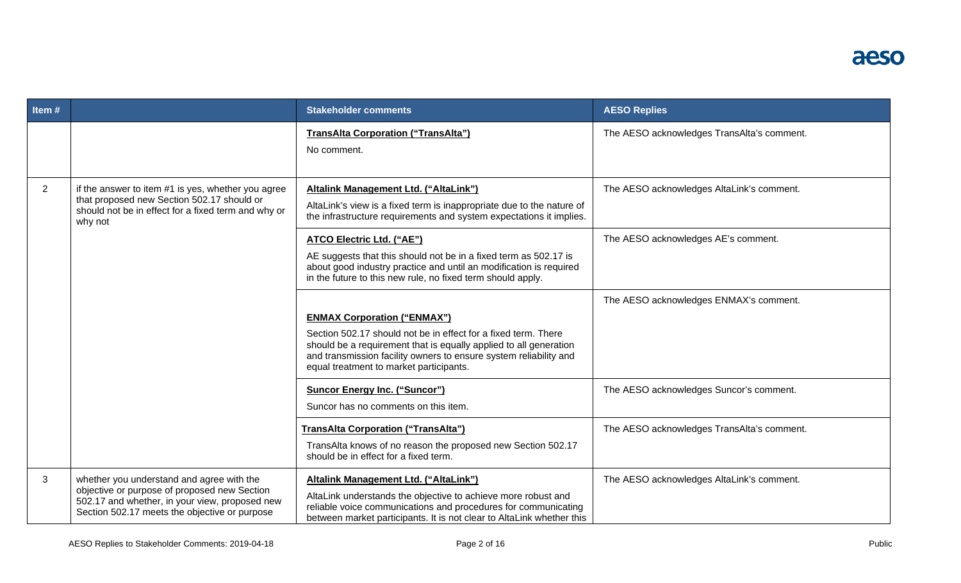| Item#                                                                                                                                                                                |                                                                                                                                                                                              | <b>Stakeholder comments</b>                                                                                                                                                                                                                                                               | <b>AESO Replies</b>                        |
|--------------------------------------------------------------------------------------------------------------------------------------------------------------------------------------|----------------------------------------------------------------------------------------------------------------------------------------------------------------------------------------------|-------------------------------------------------------------------------------------------------------------------------------------------------------------------------------------------------------------------------------------------------------------------------------------------|--------------------------------------------|
|                                                                                                                                                                                      |                                                                                                                                                                                              | <b>TransAlta Corporation ("TransAlta")</b><br>No comment.                                                                                                                                                                                                                                 | The AESO acknowledges TransAlta's comment. |
| $\overline{2}$<br>if the answer to item #1 is yes, whether you agree<br>that proposed new Section 502.17 should or<br>should not be in effect for a fixed term and why or<br>why not |                                                                                                                                                                                              | Altalink Management Ltd. ("AltaLink")<br>AltaLink's view is a fixed term is inappropriate due to the nature of<br>the infrastructure requirements and system expectations it implies.                                                                                                     | The AESO acknowledges AltaLink's comment.  |
|                                                                                                                                                                                      |                                                                                                                                                                                              | <b>ATCO Electric Ltd. ("AE")</b><br>AE suggests that this should not be in a fixed term as 502.17 is<br>about good industry practice and until an modification is required<br>in the future to this new rule, no fixed term should apply.                                                 | The AESO acknowledges AE's comment.        |
|                                                                                                                                                                                      |                                                                                                                                                                                              | <b>ENMAX Corporation ("ENMAX")</b><br>Section 502.17 should not be in effect for a fixed term. There<br>should be a requirement that is equally applied to all generation<br>and transmission facility owners to ensure system reliability and<br>equal treatment to market participants. | The AESO acknowledges ENMAX's comment.     |
|                                                                                                                                                                                      |                                                                                                                                                                                              | <b>Suncor Energy Inc. ("Suncor")</b><br>Suncor has no comments on this item.                                                                                                                                                                                                              | The AESO acknowledges Suncor's comment.    |
|                                                                                                                                                                                      |                                                                                                                                                                                              | <b>TransAlta Corporation ("TransAlta")</b><br>TransAlta knows of no reason the proposed new Section 502.17<br>should be in effect for a fixed term.                                                                                                                                       | The AESO acknowledges TransAlta's comment. |
| 3                                                                                                                                                                                    | whether you understand and agree with the<br>objective or purpose of proposed new Section<br>502.17 and whether, in your view, proposed new<br>Section 502.17 meets the objective or purpose | <b>Altalink Management Ltd. ("AltaLink")</b><br>AltaLink understands the objective to achieve more robust and<br>reliable voice communications and procedures for communicating<br>between market participants. It is not clear to AltaLink whether this                                  | The AESO acknowledges AltaLink's comment.  |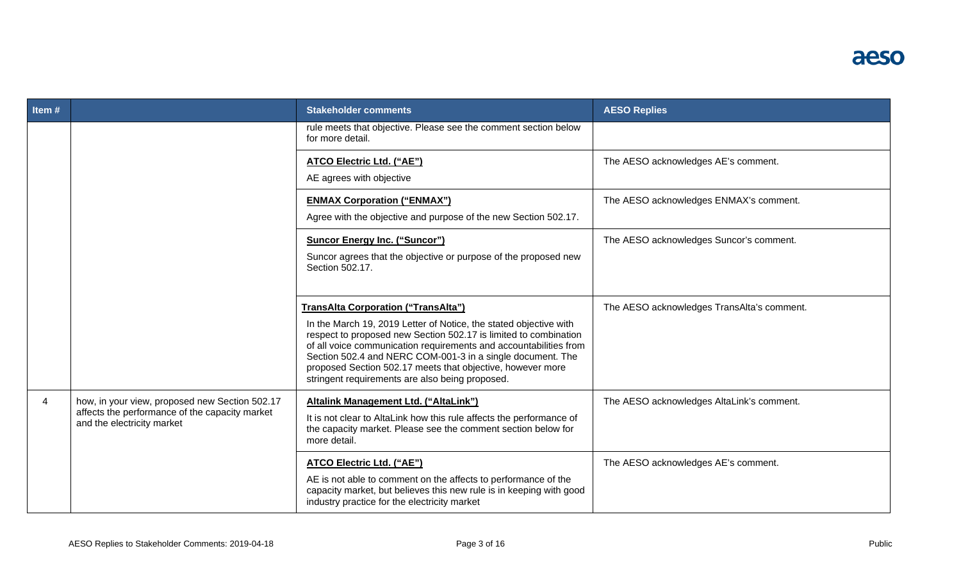| Item# |                                                                                                                                | <b>Stakeholder comments</b>                                                                                                                                                                                                                                                                                                                                                                                                             | <b>AESO Replies</b>                        |
|-------|--------------------------------------------------------------------------------------------------------------------------------|-----------------------------------------------------------------------------------------------------------------------------------------------------------------------------------------------------------------------------------------------------------------------------------------------------------------------------------------------------------------------------------------------------------------------------------------|--------------------------------------------|
|       |                                                                                                                                | rule meets that objective. Please see the comment section below<br>for more detail.                                                                                                                                                                                                                                                                                                                                                     |                                            |
|       |                                                                                                                                | ATCO Electric Ltd. ("AE")<br>AE agrees with objective                                                                                                                                                                                                                                                                                                                                                                                   | The AESO acknowledges AE's comment.        |
|       |                                                                                                                                | <b>ENMAX Corporation ("ENMAX")</b><br>Agree with the objective and purpose of the new Section 502.17.                                                                                                                                                                                                                                                                                                                                   | The AESO acknowledges ENMAX's comment.     |
|       |                                                                                                                                | <b>Suncor Energy Inc. ("Suncor")</b><br>Suncor agrees that the objective or purpose of the proposed new<br>Section 502.17.                                                                                                                                                                                                                                                                                                              | The AESO acknowledges Suncor's comment.    |
|       |                                                                                                                                | <b>TransAlta Corporation ("TransAlta")</b><br>In the March 19, 2019 Letter of Notice, the stated objective with<br>respect to proposed new Section 502.17 is limited to combination<br>of all voice communication requirements and accountabilities from<br>Section 502.4 and NERC COM-001-3 in a single document. The<br>proposed Section 502.17 meets that objective, however more<br>stringent requirements are also being proposed. | The AESO acknowledges TransAlta's comment. |
| 4     | how, in your view, proposed new Section 502.17<br>affects the performance of the capacity market<br>and the electricity market | Altalink Management Ltd. ("AltaLink")<br>It is not clear to AltaLink how this rule affects the performance of<br>the capacity market. Please see the comment section below for<br>more detail.                                                                                                                                                                                                                                          | The AESO acknowledges AltaLink's comment.  |
|       |                                                                                                                                | ATCO Electric Ltd. ("AE")<br>AE is not able to comment on the affects to performance of the<br>capacity market, but believes this new rule is in keeping with good<br>industry practice for the electricity market                                                                                                                                                                                                                      | The AESO acknowledges AE's comment.        |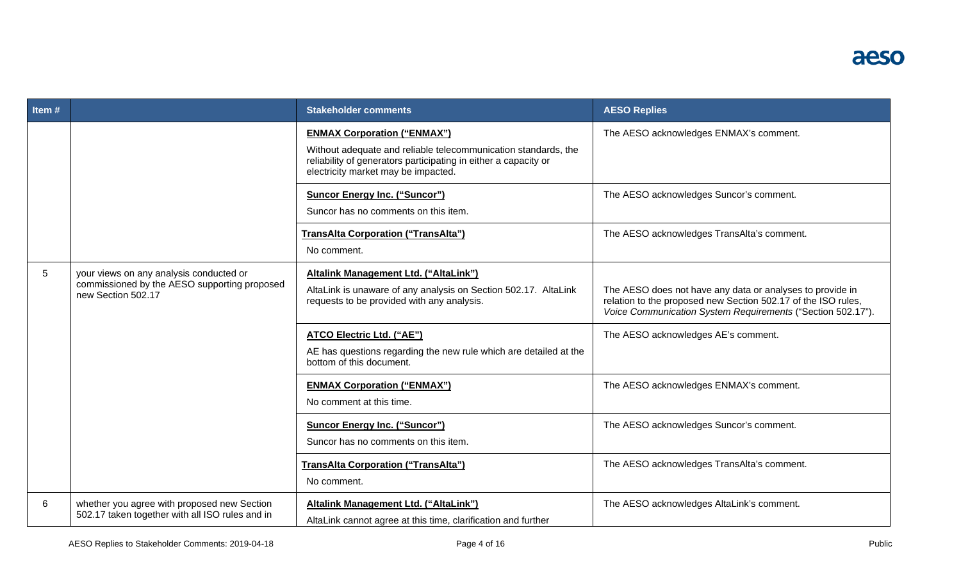| Item# |                                                                                                               | <b>Stakeholder comments</b>                                                                                                                                                                                    | <b>AESO Replies</b>                                                                                                                                                                       |
|-------|---------------------------------------------------------------------------------------------------------------|----------------------------------------------------------------------------------------------------------------------------------------------------------------------------------------------------------------|-------------------------------------------------------------------------------------------------------------------------------------------------------------------------------------------|
|       |                                                                                                               | <b>ENMAX Corporation ("ENMAX")</b><br>Without adequate and reliable telecommunication standards, the<br>reliability of generators participating in either a capacity or<br>electricity market may be impacted. | The AESO acknowledges ENMAX's comment.                                                                                                                                                    |
|       |                                                                                                               | <b>Suncor Energy Inc. ("Suncor")</b><br>Suncor has no comments on this item.                                                                                                                                   | The AESO acknowledges Suncor's comment.                                                                                                                                                   |
|       |                                                                                                               | <b>TransAlta Corporation ("TransAlta")</b><br>No comment.                                                                                                                                                      | The AESO acknowledges TransAlta's comment.                                                                                                                                                |
| 5     | your views on any analysis conducted or<br>commissioned by the AESO supporting proposed<br>new Section 502.17 | <b>Altalink Management Ltd. ("AltaLink")</b><br>AltaLink is unaware of any analysis on Section 502.17. AltaLink<br>requests to be provided with any analysis.                                                  | The AESO does not have any data or analyses to provide in<br>relation to the proposed new Section 502.17 of the ISO rules,<br>Voice Communication System Requirements ("Section 502.17"). |
|       |                                                                                                               | ATCO Electric Ltd. ("AE")<br>AE has questions regarding the new rule which are detailed at the<br>bottom of this document.                                                                                     | The AESO acknowledges AE's comment.                                                                                                                                                       |
|       |                                                                                                               | <b>ENMAX Corporation ("ENMAX")</b><br>No comment at this time.                                                                                                                                                 | The AESO acknowledges ENMAX's comment.                                                                                                                                                    |
|       |                                                                                                               | <b>Suncor Energy Inc. ("Suncor")</b><br>Suncor has no comments on this item.                                                                                                                                   | The AESO acknowledges Suncor's comment.                                                                                                                                                   |
|       |                                                                                                               | <b>TransAlta Corporation ("TransAlta")</b><br>No comment.                                                                                                                                                      | The AESO acknowledges TransAlta's comment.                                                                                                                                                |
| 6     | whether you agree with proposed new Section<br>502.17 taken together with all ISO rules and in                | Altalink Management Ltd. ("AltaLink")<br>AltaLink cannot agree at this time, clarification and further                                                                                                         | The AESO acknowledges AltaLink's comment.                                                                                                                                                 |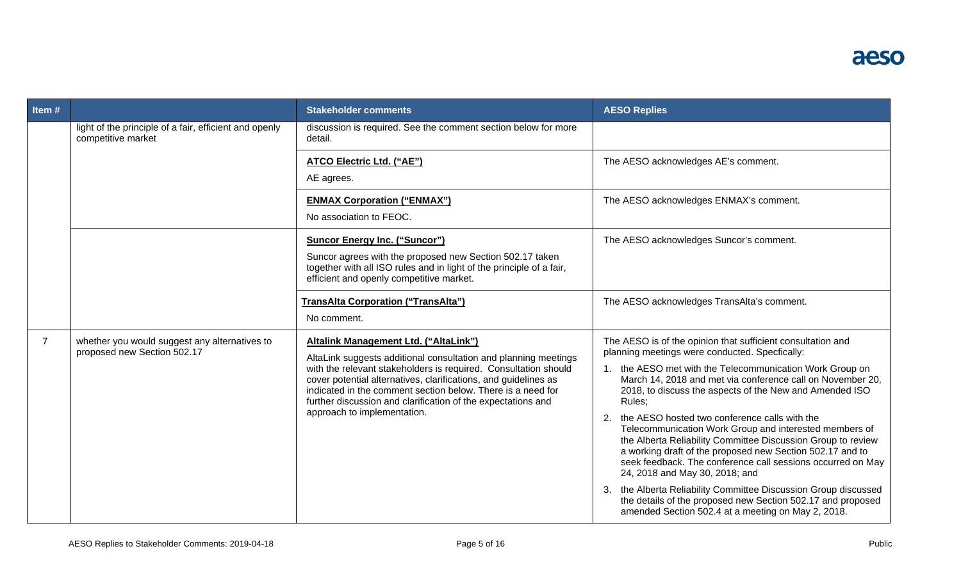| <b>Litem #</b> |                                                                              | <b>Stakeholder comments</b>                                                                                                                                                                                                                                                                      | <b>AESO Replies</b>                                                                                                                                                                                                                                                                                                                         |
|----------------|------------------------------------------------------------------------------|--------------------------------------------------------------------------------------------------------------------------------------------------------------------------------------------------------------------------------------------------------------------------------------------------|---------------------------------------------------------------------------------------------------------------------------------------------------------------------------------------------------------------------------------------------------------------------------------------------------------------------------------------------|
|                | light of the principle of a fair, efficient and openly<br>competitive market | discussion is required. See the comment section below for more<br>detail.                                                                                                                                                                                                                        |                                                                                                                                                                                                                                                                                                                                             |
|                |                                                                              | ATCO Electric Ltd. ("AE")<br>AE agrees.                                                                                                                                                                                                                                                          | The AESO acknowledges AE's comment.                                                                                                                                                                                                                                                                                                         |
|                |                                                                              | <b>ENMAX Corporation ("ENMAX")</b><br>No association to FEOC.                                                                                                                                                                                                                                    | The AESO acknowledges ENMAX's comment.                                                                                                                                                                                                                                                                                                      |
|                |                                                                              | <b>Suncor Energy Inc. ("Suncor")</b><br>Suncor agrees with the proposed new Section 502.17 taken<br>together with all ISO rules and in light of the principle of a fair,<br>efficient and openly competitive market.                                                                             | The AESO acknowledges Suncor's comment.                                                                                                                                                                                                                                                                                                     |
|                |                                                                              | <b>TransAlta Corporation ("TransAlta")</b><br>No comment.                                                                                                                                                                                                                                        | The AESO acknowledges TransAlta's comment.                                                                                                                                                                                                                                                                                                  |
| $\overline{7}$ | whether you would suggest any alternatives to<br>proposed new Section 502.17 | Altalink Management Ltd. ("AltaLink")<br>AltaLink suggests additional consultation and planning meetings                                                                                                                                                                                         | The AESO is of the opinion that sufficient consultation and<br>planning meetings were conducted. Specfically:                                                                                                                                                                                                                               |
|                |                                                                              | with the relevant stakeholders is required. Consultation should<br>cover potential alternatives, clarifications, and guidelines as<br>indicated in the comment section below. There is a need for<br>further discussion and clarification of the expectations and<br>approach to implementation. | 1. the AESO met with the Telecommunication Work Group on<br>March 14, 2018 and met via conference call on November 20,<br>2018, to discuss the aspects of the New and Amended ISO<br>Rules:                                                                                                                                                 |
|                |                                                                              |                                                                                                                                                                                                                                                                                                  | the AESO hosted two conference calls with the<br>2.<br>Telecommunication Work Group and interested members of<br>the Alberta Reliability Committee Discussion Group to review<br>a working draft of the proposed new Section 502.17 and to<br>seek feedback. The conference call sessions occurred on May<br>24, 2018 and May 30, 2018; and |
|                |                                                                              |                                                                                                                                                                                                                                                                                                  | 3. the Alberta Reliability Committee Discussion Group discussed<br>the details of the proposed new Section 502.17 and proposed<br>amended Section 502.4 at a meeting on May 2, 2018.                                                                                                                                                        |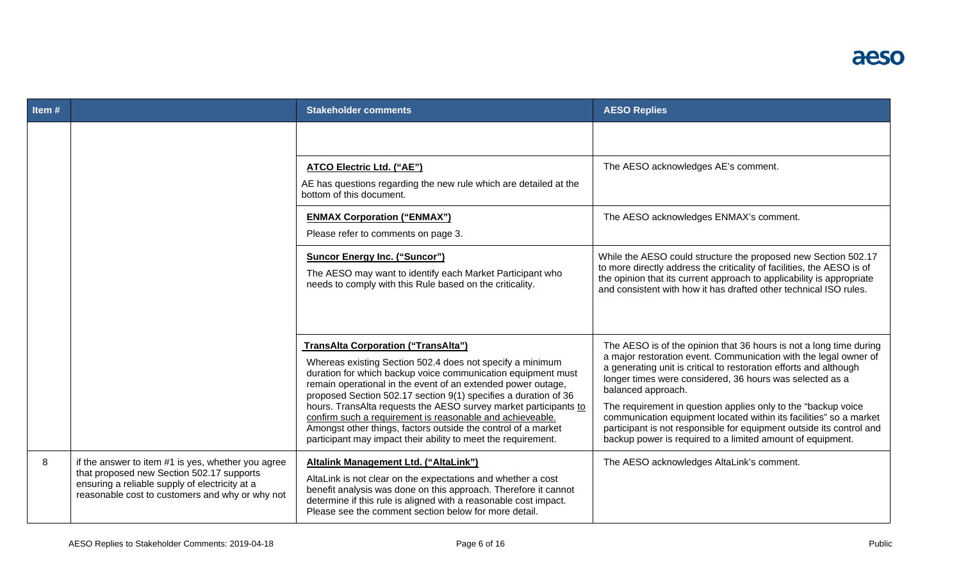| Item# |                                                                                                                                                                                                      | <b>Stakeholder comments</b>                                                                                                                                                                                                                                                                                                                                                                                                                                                                                  | <b>AESO Replies</b>                                                                                                                                                                                                                                                                                                                                                                                                                                                                                           |
|-------|------------------------------------------------------------------------------------------------------------------------------------------------------------------------------------------------------|--------------------------------------------------------------------------------------------------------------------------------------------------------------------------------------------------------------------------------------------------------------------------------------------------------------------------------------------------------------------------------------------------------------------------------------------------------------------------------------------------------------|---------------------------------------------------------------------------------------------------------------------------------------------------------------------------------------------------------------------------------------------------------------------------------------------------------------------------------------------------------------------------------------------------------------------------------------------------------------------------------------------------------------|
|       |                                                                                                                                                                                                      |                                                                                                                                                                                                                                                                                                                                                                                                                                                                                                              |                                                                                                                                                                                                                                                                                                                                                                                                                                                                                                               |
|       |                                                                                                                                                                                                      | <b>ATCO Electric Ltd. ("AE")</b><br>AE has questions regarding the new rule which are detailed at the<br>bottom of this document.                                                                                                                                                                                                                                                                                                                                                                            | The AESO acknowledges AE's comment.                                                                                                                                                                                                                                                                                                                                                                                                                                                                           |
|       |                                                                                                                                                                                                      | <b>ENMAX Corporation ("ENMAX")</b><br>Please refer to comments on page 3.                                                                                                                                                                                                                                                                                                                                                                                                                                    | The AESO acknowledges ENMAX's comment.                                                                                                                                                                                                                                                                                                                                                                                                                                                                        |
|       |                                                                                                                                                                                                      | <b>Suncor Energy Inc. ("Suncor")</b><br>The AESO may want to identify each Market Participant who<br>needs to comply with this Rule based on the criticality.                                                                                                                                                                                                                                                                                                                                                | While the AESO could structure the proposed new Section 502.17<br>to more directly address the criticality of facilities, the AESO is of<br>the opinion that its current approach to applicability is appropriate<br>and consistent with how it has drafted other technical ISO rules.                                                                                                                                                                                                                        |
|       |                                                                                                                                                                                                      | <b>TransAlta Corporation ("TransAlta")</b><br>Whereas existing Section 502.4 does not specify a minimum<br>duration for which backup voice communication equipment must<br>remain operational in the event of an extended power outage,<br>proposed Section 502.17 section 9(1) specifies a duration of 36<br>hours. TransAlta requests the AESO survey market participants to<br>confirm such a requirement is reasonable and achieveable.<br>Amongst other things, factors outside the control of a market | The AESO is of the opinion that 36 hours is not a long time during<br>a major restoration event. Communication with the legal owner of<br>a generating unit is critical to restoration efforts and although<br>longer times were considered, 36 hours was selected as a<br>balanced approach.<br>The requirement in question applies only to the "backup voice"<br>communication equipment located within its facilities" so a market<br>participant is not responsible for equipment outside its control and |
| 8     | if the answer to item #1 is yes, whether you agree<br>that proposed new Section 502.17 supports<br>ensuring a reliable supply of electricity at a<br>reasonable cost to customers and why or why not | participant may impact their ability to meet the requirement.<br>Altalink Management Ltd. ("AltaLink")<br>AltaLink is not clear on the expectations and whether a cost<br>benefit analysis was done on this approach. Therefore it cannot<br>determine if this rule is aligned with a reasonable cost impact.<br>Please see the comment section below for more detail.                                                                                                                                       | backup power is required to a limited amount of equipment.<br>The AESO acknowledges AltaLink's comment.                                                                                                                                                                                                                                                                                                                                                                                                       |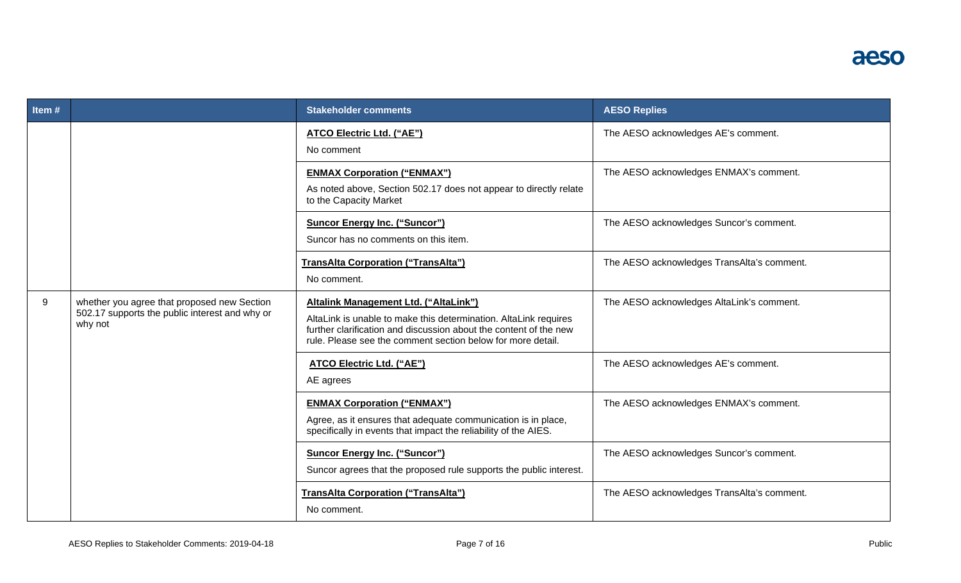| Item $#$ |                                                                                                          | <b>Stakeholder comments</b>                                                                                                                                                                                                                   | <b>AESO Replies</b>                        |
|----------|----------------------------------------------------------------------------------------------------------|-----------------------------------------------------------------------------------------------------------------------------------------------------------------------------------------------------------------------------------------------|--------------------------------------------|
|          |                                                                                                          | ATCO Electric Ltd. ("AE")<br>No comment                                                                                                                                                                                                       | The AESO acknowledges AE's comment.        |
|          |                                                                                                          | <b>ENMAX Corporation ("ENMAX")</b><br>As noted above, Section 502.17 does not appear to directly relate<br>to the Capacity Market                                                                                                             | The AESO acknowledges ENMAX's comment.     |
|          |                                                                                                          | <b>Suncor Energy Inc. ("Suncor")</b><br>Suncor has no comments on this item.                                                                                                                                                                  | The AESO acknowledges Suncor's comment.    |
|          |                                                                                                          | TransAlta Corporation ("TransAlta")<br>No comment.                                                                                                                                                                                            | The AESO acknowledges TransAlta's comment. |
| 9        | whether you agree that proposed new Section<br>502.17 supports the public interest and why or<br>why not | Altalink Management Ltd. ("AltaLink")<br>AltaLink is unable to make this determination. AltaLink requires<br>further clarification and discussion about the content of the new<br>rule. Please see the comment section below for more detail. | The AESO acknowledges AltaLink's comment.  |
|          |                                                                                                          | <b>ATCO Electric Ltd. ("AE")</b><br>AE agrees                                                                                                                                                                                                 | The AESO acknowledges AE's comment.        |
|          |                                                                                                          | <b>ENMAX Corporation ("ENMAX")</b><br>Agree, as it ensures that adequate communication is in place,<br>specifically in events that impact the reliability of the AIES.                                                                        | The AESO acknowledges ENMAX's comment.     |
|          |                                                                                                          | <b>Suncor Energy Inc. ("Suncor")</b><br>Suncor agrees that the proposed rule supports the public interest.                                                                                                                                    | The AESO acknowledges Suncor's comment.    |
|          |                                                                                                          | <b>TransAlta Corporation ("TransAlta")</b><br>No comment.                                                                                                                                                                                     | The AESO acknowledges TransAlta's comment. |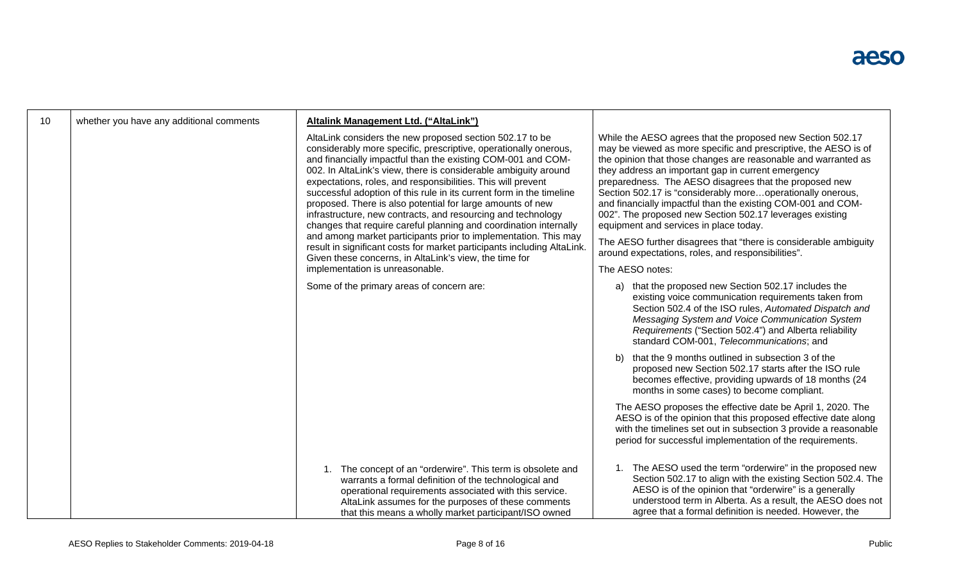| 10 | whether you have any additional comments | Altalink Management Ltd. ("AltaLink")                                                                                                                                                                                                                                                                                                                                                                                                                                                                                                                                                                                                                                                                                                                                                                                                                 |                                                                                                                                                                                                                                                                                                                                                                                                                                                                                                                                                                                                                                                                                                  |
|----|------------------------------------------|-------------------------------------------------------------------------------------------------------------------------------------------------------------------------------------------------------------------------------------------------------------------------------------------------------------------------------------------------------------------------------------------------------------------------------------------------------------------------------------------------------------------------------------------------------------------------------------------------------------------------------------------------------------------------------------------------------------------------------------------------------------------------------------------------------------------------------------------------------|--------------------------------------------------------------------------------------------------------------------------------------------------------------------------------------------------------------------------------------------------------------------------------------------------------------------------------------------------------------------------------------------------------------------------------------------------------------------------------------------------------------------------------------------------------------------------------------------------------------------------------------------------------------------------------------------------|
|    |                                          | AltaLink considers the new proposed section 502.17 to be<br>considerably more specific, prescriptive, operationally onerous,<br>and financially impactful than the existing COM-001 and COM-<br>002. In AltaLink's view, there is considerable ambiguity around<br>expectations, roles, and responsibilities. This will prevent<br>successful adoption of this rule in its current form in the timeline<br>proposed. There is also potential for large amounts of new<br>infrastructure, new contracts, and resourcing and technology<br>changes that require careful planning and coordination internally<br>and among market participants prior to implementation. This may<br>result in significant costs for market participants including AltaLink.<br>Given these concerns, in AltaLink's view, the time for<br>implementation is unreasonable. | While the AESO agrees that the proposed new Section 502.17<br>may be viewed as more specific and prescriptive, the AESO is of<br>the opinion that those changes are reasonable and warranted as<br>they address an important gap in current emergency<br>preparedness. The AESO disagrees that the proposed new<br>Section 502.17 is "considerably moreoperationally onerous,<br>and financially impactful than the existing COM-001 and COM-<br>002". The proposed new Section 502.17 leverages existing<br>equipment and services in place today.<br>The AESO further disagrees that "there is considerable ambiguity<br>around expectations, roles, and responsibilities".<br>The AESO notes: |
|    |                                          | Some of the primary areas of concern are:                                                                                                                                                                                                                                                                                                                                                                                                                                                                                                                                                                                                                                                                                                                                                                                                             | a) that the proposed new Section 502.17 includes the<br>existing voice communication requirements taken from<br>Section 502.4 of the ISO rules, Automated Dispatch and<br>Messaging System and Voice Communication System<br>Requirements ("Section 502.4") and Alberta reliability<br>standard COM-001, Telecommunications; and                                                                                                                                                                                                                                                                                                                                                                 |
|    |                                          |                                                                                                                                                                                                                                                                                                                                                                                                                                                                                                                                                                                                                                                                                                                                                                                                                                                       | that the 9 months outlined in subsection 3 of the<br>b).<br>proposed new Section 502.17 starts after the ISO rule<br>becomes effective, providing upwards of 18 months (24<br>months in some cases) to become compliant.                                                                                                                                                                                                                                                                                                                                                                                                                                                                         |
|    |                                          |                                                                                                                                                                                                                                                                                                                                                                                                                                                                                                                                                                                                                                                                                                                                                                                                                                                       | The AESO proposes the effective date be April 1, 2020. The<br>AESO is of the opinion that this proposed effective date along<br>with the timelines set out in subsection 3 provide a reasonable<br>period for successful implementation of the requirements.                                                                                                                                                                                                                                                                                                                                                                                                                                     |
|    |                                          | The concept of an "orderwire". This term is obsolete and<br>warrants a formal definition of the technological and<br>operational requirements associated with this service.<br>AltaLink assumes for the purposes of these comments<br>that this means a wholly market participant/ISO owned                                                                                                                                                                                                                                                                                                                                                                                                                                                                                                                                                           | 1. The AESO used the term "orderwire" in the proposed new<br>Section 502.17 to align with the existing Section 502.4. The<br>AESO is of the opinion that "orderwire" is a generally<br>understood term in Alberta. As a result, the AESO does not<br>agree that a formal definition is needed. However, the                                                                                                                                                                                                                                                                                                                                                                                      |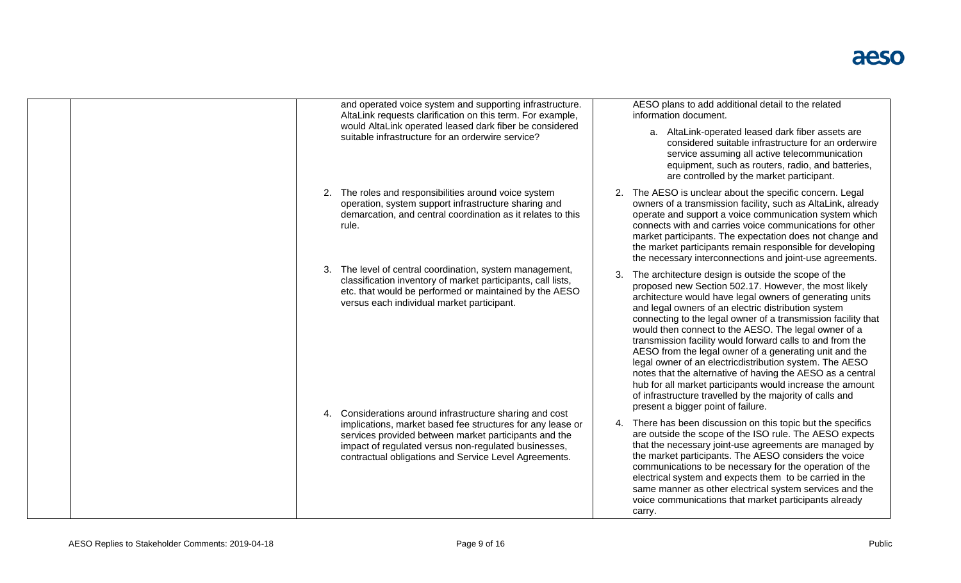| and operated voice system and supporting infrastructure.<br>AltaLink requests clarification on this term. For example,<br>would AltaLink operated leased dark fiber be considered<br>suitable infrastructure for an orderwire service?                                                          | AESO plans to add additional detail to the related<br>information document.<br>a. AltaLink-operated leased dark fiber assets are<br>considered suitable infrastructure for an orderwire<br>service assuming all active telecommunication<br>equipment, such as routers, radio, and batteries,<br>are controlled by the market participant.                                                                                                                                                                                                                                                                                                                                                                                                                              |
|-------------------------------------------------------------------------------------------------------------------------------------------------------------------------------------------------------------------------------------------------------------------------------------------------|-------------------------------------------------------------------------------------------------------------------------------------------------------------------------------------------------------------------------------------------------------------------------------------------------------------------------------------------------------------------------------------------------------------------------------------------------------------------------------------------------------------------------------------------------------------------------------------------------------------------------------------------------------------------------------------------------------------------------------------------------------------------------|
| 2. The roles and responsibilities around voice system<br>operation, system support infrastructure sharing and<br>demarcation, and central coordination as it relates to this<br>rule.                                                                                                           | 2. The AESO is unclear about the specific concern. Legal<br>owners of a transmission facility, such as AltaLink, already<br>operate and support a voice communication system which<br>connects with and carries voice communications for other<br>market participants. The expectation does not change and<br>the market participants remain responsible for developing<br>the necessary interconnections and joint-use agreements.                                                                                                                                                                                                                                                                                                                                     |
| The level of central coordination, system management,<br>3.<br>classification inventory of market participants, call lists,<br>etc. that would be performed or maintained by the AESO<br>versus each individual market participant.<br>4. Considerations around infrastructure sharing and cost | The architecture design is outside the scope of the<br>proposed new Section 502.17. However, the most likely<br>architecture would have legal owners of generating units<br>and legal owners of an electric distribution system<br>connecting to the legal owner of a transmission facility that<br>would then connect to the AESO. The legal owner of a<br>transmission facility would forward calls to and from the<br>AESO from the legal owner of a generating unit and the<br>legal owner of an electricdistribution system. The AESO<br>notes that the alternative of having the AESO as a central<br>hub for all market participants would increase the amount<br>of infrastructure travelled by the majority of calls and<br>present a bigger point of failure. |
| implications, market based fee structures for any lease or<br>services provided between market participants and the<br>impact of regulated versus non-regulated businesses,<br>contractual obligations and Service Level Agreements.                                                            | 4. There has been discussion on this topic but the specifics<br>are outside the scope of the ISO rule. The AESO expects<br>that the necessary joint-use agreements are managed by<br>the market participants. The AESO considers the voice<br>communications to be necessary for the operation of the<br>electrical system and expects them to be carried in the<br>same manner as other electrical system services and the<br>voice communications that market participants already<br>carry.                                                                                                                                                                                                                                                                          |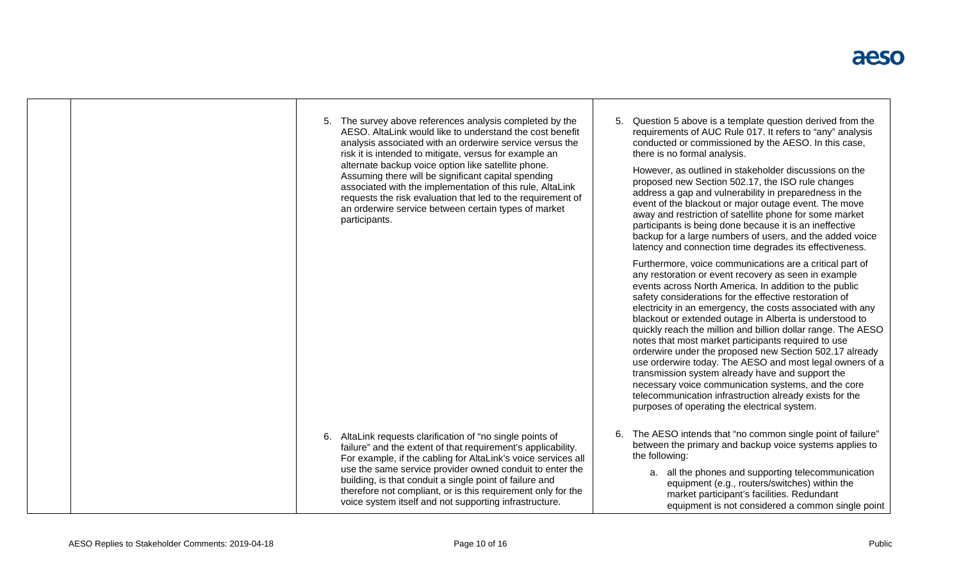|  |  | 5. The survey above references analysis completed by the<br>AESO. AltaLink would like to understand the cost benefit<br>analysis associated with an orderwire service versus the<br>risk it is intended to mitigate, versus for example an<br>alternate backup voice option like satellite phone.<br>Assuming there will be significant capital spending<br>associated with the implementation of this rule, AltaLink<br>requests the risk evaluation that led to the requirement of<br>an orderwire service between certain types of market<br>participants. | 5. | Question 5 above is a template question derived from the<br>requirements of AUC Rule 017. It refers to "any" analysis<br>conducted or commissioned by the AESO. In this case,<br>there is no formal analysis.<br>However, as outlined in stakeholder discussions on the<br>proposed new Section 502.17, the ISO rule changes<br>address a gap and vulnerability in preparedness in the<br>event of the blackout or major outage event. The move<br>away and restriction of satellite phone for some market<br>participants is being done because it is an ineffective<br>backup for a large numbers of users, and the added voice<br>latency and connection time degrades its effectiveness.                                                                                                                                      |
|--|--|---------------------------------------------------------------------------------------------------------------------------------------------------------------------------------------------------------------------------------------------------------------------------------------------------------------------------------------------------------------------------------------------------------------------------------------------------------------------------------------------------------------------------------------------------------------|----|-----------------------------------------------------------------------------------------------------------------------------------------------------------------------------------------------------------------------------------------------------------------------------------------------------------------------------------------------------------------------------------------------------------------------------------------------------------------------------------------------------------------------------------------------------------------------------------------------------------------------------------------------------------------------------------------------------------------------------------------------------------------------------------------------------------------------------------|
|  |  |                                                                                                                                                                                                                                                                                                                                                                                                                                                                                                                                                               |    | Furthermore, voice communications are a critical part of<br>any restoration or event recovery as seen in example<br>events across North America. In addition to the public<br>safety considerations for the effective restoration of<br>electricity in an emergency, the costs associated with any<br>blackout or extended outage in Alberta is understood to<br>quickly reach the million and billion dollar range. The AESO<br>notes that most market participants required to use<br>orderwire under the proposed new Section 502.17 already<br>use orderwire today. The AESO and most legal owners of a<br>transmission system already have and support the<br>necessary voice communication systems, and the core<br>telecommunication infrastruction already exists for the<br>purposes of operating the electrical system. |
|  |  | 6. AltaLink requests clarification of "no single points of<br>failure" and the extent of that requirement's applicability.<br>For example, if the cabling for AltaLink's voice services all<br>use the same service provider owned conduit to enter the<br>building, is that conduit a single point of failure and<br>therefore not compliant, or is this requirement only for the<br>voice system itself and not supporting infrastructure.                                                                                                                  | 6. | The AESO intends that "no common single point of failure"<br>between the primary and backup voice systems applies to<br>the following:<br>a. all the phones and supporting telecommunication<br>equipment (e.g., routers/switches) within the<br>market participant's facilities. Redundant<br>equipment is not considered a common single point                                                                                                                                                                                                                                                                                                                                                                                                                                                                                  |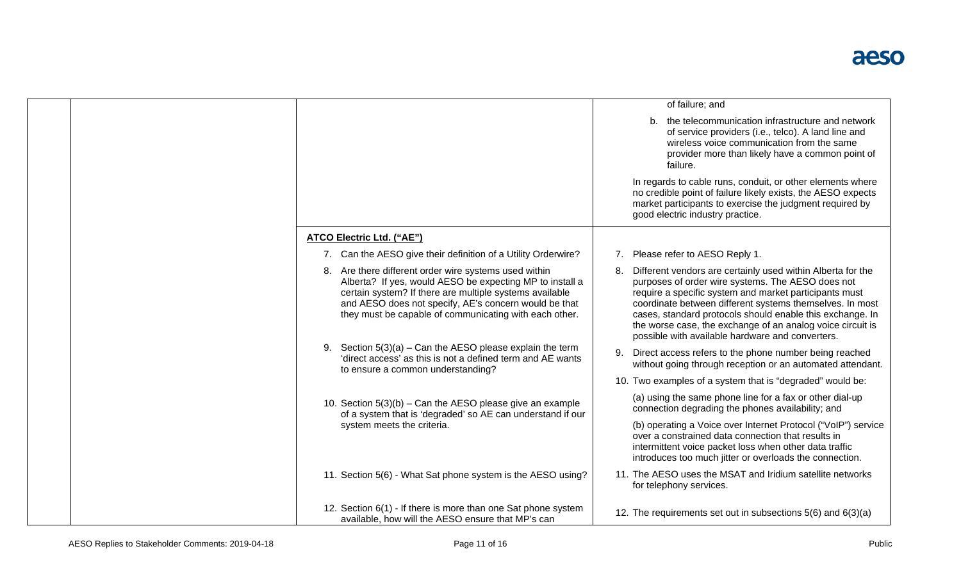|  |  |                                                                                                                                                                                                                                                                                                 | of failure; and                                                                                                                                                                                                                                                                                                                                                                                                       |
|--|--|-------------------------------------------------------------------------------------------------------------------------------------------------------------------------------------------------------------------------------------------------------------------------------------------------|-----------------------------------------------------------------------------------------------------------------------------------------------------------------------------------------------------------------------------------------------------------------------------------------------------------------------------------------------------------------------------------------------------------------------|
|  |  |                                                                                                                                                                                                                                                                                                 | b. the telecommunication infrastructure and network<br>of service providers (i.e., telco). A land line and<br>wireless voice communication from the same<br>provider more than likely have a common point of<br>failure.                                                                                                                                                                                              |
|  |  |                                                                                                                                                                                                                                                                                                 | In regards to cable runs, conduit, or other elements where<br>no credible point of failure likely exists, the AESO expects<br>market participants to exercise the judgment required by<br>good electric industry practice.                                                                                                                                                                                            |
|  |  | ATCO Electric Ltd. ("AE")                                                                                                                                                                                                                                                                       |                                                                                                                                                                                                                                                                                                                                                                                                                       |
|  |  | 7. Can the AESO give their definition of a Utility Orderwire?                                                                                                                                                                                                                                   | Please refer to AESO Reply 1.<br>7.                                                                                                                                                                                                                                                                                                                                                                                   |
|  |  | 8. Are there different order wire systems used within<br>Alberta? If yes, would AESO be expecting MP to install a<br>certain system? If there are multiple systems available<br>and AESO does not specify, AE's concern would be that<br>they must be capable of communicating with each other. | Different vendors are certainly used within Alberta for the<br>purposes of order wire systems. The AESO does not<br>require a specific system and market participants must<br>coordinate between different systems themselves. In most<br>cases, standard protocols should enable this exchange. In<br>the worse case, the exchange of an analog voice circuit is<br>possible with available hardware and converters. |
|  |  | Section $5(3)(a)$ – Can the AESO please explain the term<br>'direct access' as this is not a defined term and AE wants<br>to ensure a common understanding?                                                                                                                                     | Direct access refers to the phone number being reached<br>9.<br>without going through reception or an automated attendant.                                                                                                                                                                                                                                                                                            |
|  |  |                                                                                                                                                                                                                                                                                                 | 10. Two examples of a system that is "degraded" would be:                                                                                                                                                                                                                                                                                                                                                             |
|  |  | 10. Section $5(3)(b)$ – Can the AESO please give an example<br>of a system that is 'degraded' so AE can understand if our                                                                                                                                                                       | (a) using the same phone line for a fax or other dial-up<br>connection degrading the phones availability; and                                                                                                                                                                                                                                                                                                         |
|  |  | system meets the criteria.                                                                                                                                                                                                                                                                      | (b) operating a Voice over Internet Protocol ("VoIP") service<br>over a constrained data connection that results in<br>intermittent voice packet loss when other data traffic<br>introduces too much jitter or overloads the connection.                                                                                                                                                                              |
|  |  | 11. Section 5(6) - What Sat phone system is the AESO using?                                                                                                                                                                                                                                     | 11. The AESO uses the MSAT and Iridium satellite networks<br>for telephony services.                                                                                                                                                                                                                                                                                                                                  |
|  |  | 12. Section 6(1) - If there is more than one Sat phone system<br>available, how will the AESO ensure that MP's can                                                                                                                                                                              | 12. The requirements set out in subsections 5(6) and 6(3)(a)                                                                                                                                                                                                                                                                                                                                                          |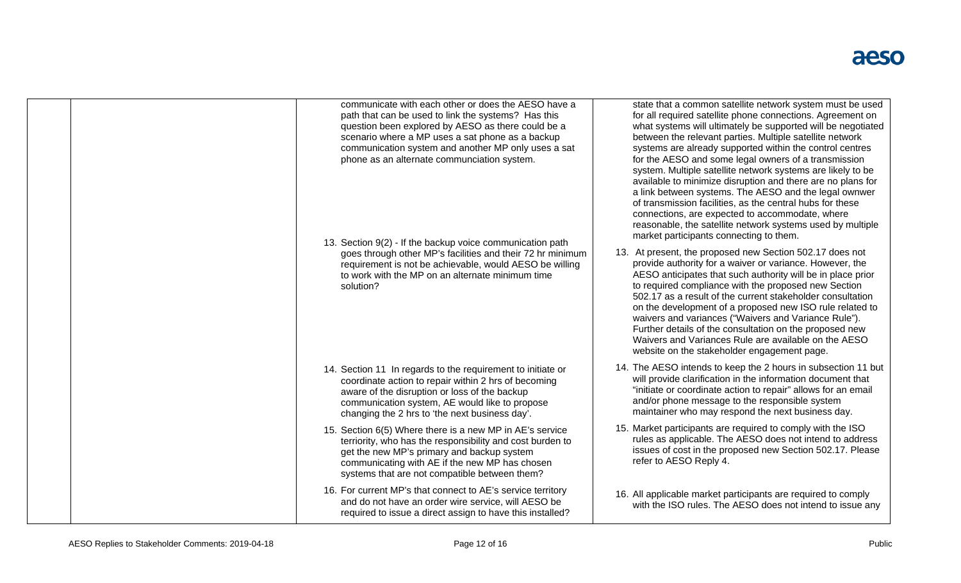| communicate with each other or does the AESO have a<br>path that can be used to link the systems? Has this<br>question been explored by AESO as there could be a<br>scenario where a MP uses a sat phone as a backup<br>communication system and another MP only uses a sat<br>phone as an alternate communciation system.<br>13. Section 9(2) - If the backup voice communication path | state that a common satellite network system must be used<br>for all required satellite phone connections. Agreement on<br>what systems will ultimately be supported will be negotiated<br>between the relevant parties. Multiple satellite network<br>systems are already supported within the control centres<br>for the AESO and some legal owners of a transmission<br>system. Multiple satellite network systems are likely to be<br>available to minimize disruption and there are no plans for<br>a link between systems. The AESO and the legal ownwer<br>of transmission facilities, as the central hubs for these<br>connections, are expected to accommodate, where<br>reasonable, the satellite network systems used by multiple<br>market participants connecting to them. |
|-----------------------------------------------------------------------------------------------------------------------------------------------------------------------------------------------------------------------------------------------------------------------------------------------------------------------------------------------------------------------------------------|-----------------------------------------------------------------------------------------------------------------------------------------------------------------------------------------------------------------------------------------------------------------------------------------------------------------------------------------------------------------------------------------------------------------------------------------------------------------------------------------------------------------------------------------------------------------------------------------------------------------------------------------------------------------------------------------------------------------------------------------------------------------------------------------|
| goes through other MP's facilities and their 72 hr minimum<br>requirement is not be achievable, would AESO be willing<br>to work with the MP on an alternate minimum time<br>solution?                                                                                                                                                                                                  | 13. At present, the proposed new Section 502.17 does not<br>provide authority for a waiver or variance. However, the<br>AESO anticipates that such authority will be in place prior<br>to required compliance with the proposed new Section<br>502.17 as a result of the current stakeholder consultation<br>on the development of a proposed new ISO rule related to<br>waivers and variances ("Waivers and Variance Rule").<br>Further details of the consultation on the proposed new<br>Waivers and Variances Rule are available on the AESO<br>website on the stakeholder engagement page.                                                                                                                                                                                         |
| 14. Section 11 In regards to the requirement to initiate or<br>coordinate action to repair within 2 hrs of becoming<br>aware of the disruption or loss of the backup<br>communication system, AE would like to propose<br>changing the 2 hrs to 'the next business day'.                                                                                                                | 14. The AESO intends to keep the 2 hours in subsection 11 but<br>will provide clarification in the information document that<br>"initiate or coordinate action to repair" allows for an email<br>and/or phone message to the responsible system<br>maintainer who may respond the next business day.                                                                                                                                                                                                                                                                                                                                                                                                                                                                                    |
| 15. Section 6(5) Where there is a new MP in AE's service<br>terriority, who has the responsibility and cost burden to<br>get the new MP's primary and backup system<br>communicating with AE if the new MP has chosen<br>systems that are not compatible between them?                                                                                                                  | 15. Market participants are required to comply with the ISO<br>rules as applicable. The AESO does not intend to address<br>issues of cost in the proposed new Section 502.17. Please<br>refer to AESO Reply 4.                                                                                                                                                                                                                                                                                                                                                                                                                                                                                                                                                                          |
| 16. For current MP's that connect to AE's service territory<br>and do not have an order wire service, will AESO be<br>required to issue a direct assign to have this installed?                                                                                                                                                                                                         | 16. All applicable market participants are required to comply<br>with the ISO rules. The AESO does not intend to issue any                                                                                                                                                                                                                                                                                                                                                                                                                                                                                                                                                                                                                                                              |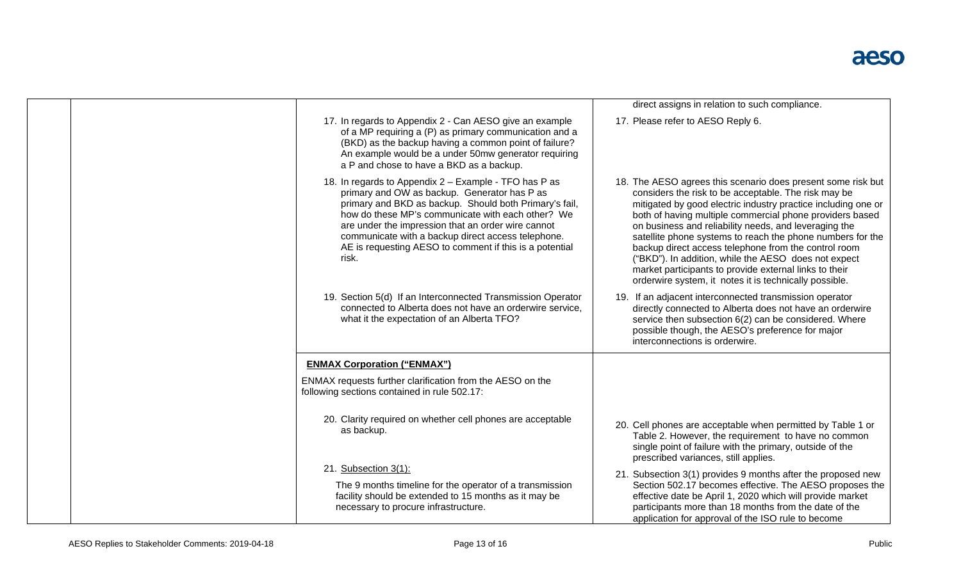|                                                                                                                                                                                                                                                                                                                                                                                                      | direct assigns in relation to such compliance.                                                                                                                                                                                                                                                                                                                                                                                                                                                                                                                                                               |
|------------------------------------------------------------------------------------------------------------------------------------------------------------------------------------------------------------------------------------------------------------------------------------------------------------------------------------------------------------------------------------------------------|--------------------------------------------------------------------------------------------------------------------------------------------------------------------------------------------------------------------------------------------------------------------------------------------------------------------------------------------------------------------------------------------------------------------------------------------------------------------------------------------------------------------------------------------------------------------------------------------------------------|
| 17. In regards to Appendix 2 - Can AESO give an example<br>of a MP requiring a (P) as primary communication and a<br>(BKD) as the backup having a common point of failure?<br>An example would be a under 50mw generator requiring<br>a P and chose to have a BKD as a backup.                                                                                                                       | 17. Please refer to AESO Reply 6.                                                                                                                                                                                                                                                                                                                                                                                                                                                                                                                                                                            |
| 18. In regards to Appendix 2 - Example - TFO has P as<br>primary and OW as backup. Generator has P as<br>primary and BKD as backup. Should both Primary's fail,<br>how do these MP's communicate with each other? We<br>are under the impression that an order wire cannot<br>communicate with a backup direct access telephone.<br>AE is requesting AESO to comment if this is a potential<br>risk. | 18. The AESO agrees this scenario does present some risk but<br>considers the risk to be acceptable. The risk may be<br>mitigated by good electric industry practice including one or<br>both of having multiple commercial phone providers based<br>on business and reliability needs, and leveraging the<br>satellite phone systems to reach the phone numbers for the<br>backup direct access telephone from the control room<br>("BKD"). In addition, while the AESO does not expect<br>market participants to provide external links to their<br>orderwire system, it notes it is technically possible. |
| 19. Section 5(d) If an Interconnected Transmission Operator<br>connected to Alberta does not have an orderwire service,<br>what it the expectation of an Alberta TFO?                                                                                                                                                                                                                                | 19. If an adjacent interconnected transmission operator<br>directly connected to Alberta does not have an orderwire<br>service then subsection 6(2) can be considered. Where<br>possible though, the AESO's preference for major<br>interconnections is orderwire.                                                                                                                                                                                                                                                                                                                                           |
| <b>ENMAX Corporation ("ENMAX")</b>                                                                                                                                                                                                                                                                                                                                                                   |                                                                                                                                                                                                                                                                                                                                                                                                                                                                                                                                                                                                              |
| ENMAX requests further clarification from the AESO on the<br>following sections contained in rule 502.17:                                                                                                                                                                                                                                                                                            |                                                                                                                                                                                                                                                                                                                                                                                                                                                                                                                                                                                                              |
| 20. Clarity required on whether cell phones are acceptable<br>as backup.                                                                                                                                                                                                                                                                                                                             | 20. Cell phones are acceptable when permitted by Table 1 or<br>Table 2. However, the requirement to have no common<br>single point of failure with the primary, outside of the<br>prescribed variances, still applies.                                                                                                                                                                                                                                                                                                                                                                                       |
| 21. Subsection 3(1):<br>The 9 months timeline for the operator of a transmission<br>facility should be extended to 15 months as it may be<br>necessary to procure infrastructure.                                                                                                                                                                                                                    | 21. Subsection 3(1) provides 9 months after the proposed new<br>Section 502.17 becomes effective. The AESO proposes the<br>effective date be April 1, 2020 which will provide market<br>participants more than 18 months from the date of the<br>application for approval of the ISO rule to become                                                                                                                                                                                                                                                                                                          |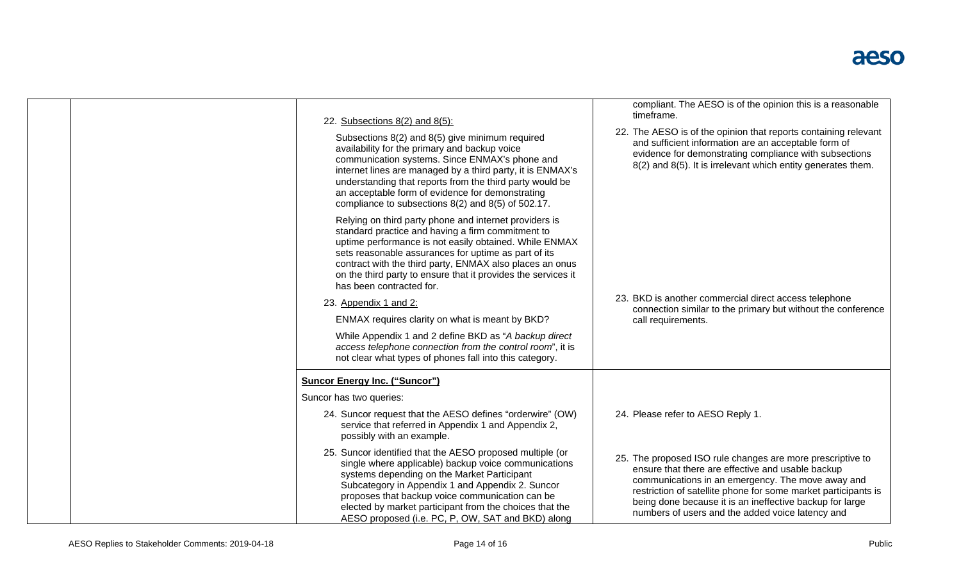۰

| 22. Subsections $8(2)$ and $8(5)$ :<br>Subsections 8(2) and 8(5) give minimum required<br>availability for the primary and backup voice<br>communication systems. Since ENMAX's phone and<br>internet lines are managed by a third party, it is ENMAX's<br>understanding that reports from the third party would be<br>an acceptable form of evidence for demonstrating<br>compliance to subsections 8(2) and 8(5) of 502.17.<br>Relying on third party phone and internet providers is<br>standard practice and having a firm commitment to<br>uptime performance is not easily obtained. While ENMAX<br>sets reasonable assurances for uptime as part of its<br>contract with the third party, ENMAX also places an onus<br>on the third party to ensure that it provides the services it<br>has been contracted for.<br>23. Appendix 1 and 2:<br>ENMAX requires clarity on what is meant by BKD?<br>While Appendix 1 and 2 define BKD as "A backup direct<br>access telephone connection from the control room", it is<br>not clear what types of phones fall into this category. | compliant. The AESO is of the opinion this is a reasonable<br>timeframe.<br>22. The AESO is of the opinion that reports containing relevant<br>and sufficient information are an acceptable form of<br>evidence for demonstrating compliance with subsections<br>8(2) and 8(5). It is irrelevant which entity generates them.<br>23. BKD is another commercial direct access telephone<br>connection similar to the primary but without the conference<br>call requirements. |
|--------------------------------------------------------------------------------------------------------------------------------------------------------------------------------------------------------------------------------------------------------------------------------------------------------------------------------------------------------------------------------------------------------------------------------------------------------------------------------------------------------------------------------------------------------------------------------------------------------------------------------------------------------------------------------------------------------------------------------------------------------------------------------------------------------------------------------------------------------------------------------------------------------------------------------------------------------------------------------------------------------------------------------------------------------------------------------------|------------------------------------------------------------------------------------------------------------------------------------------------------------------------------------------------------------------------------------------------------------------------------------------------------------------------------------------------------------------------------------------------------------------------------------------------------------------------------|
| <b>Suncor Energy Inc. ("Suncor")</b><br>Suncor has two queries:<br>24. Suncor request that the AESO defines "orderwire" (OW)<br>service that referred in Appendix 1 and Appendix 2,<br>possibly with an example.<br>25. Suncor identified that the AESO proposed multiple (or<br>single where applicable) backup voice communications<br>systems depending on the Market Participant<br>Subcategory in Appendix 1 and Appendix 2. Suncor<br>proposes that backup voice communication can be<br>elected by market participant from the choices that the                                                                                                                                                                                                                                                                                                                                                                                                                                                                                                                               | 24. Please refer to AESO Reply 1.<br>25. The proposed ISO rule changes are more prescriptive to<br>ensure that there are effective and usable backup<br>communications in an emergency. The move away and<br>restriction of satellite phone for some market participants is<br>being done because it is an ineffective backup for large                                                                                                                                      |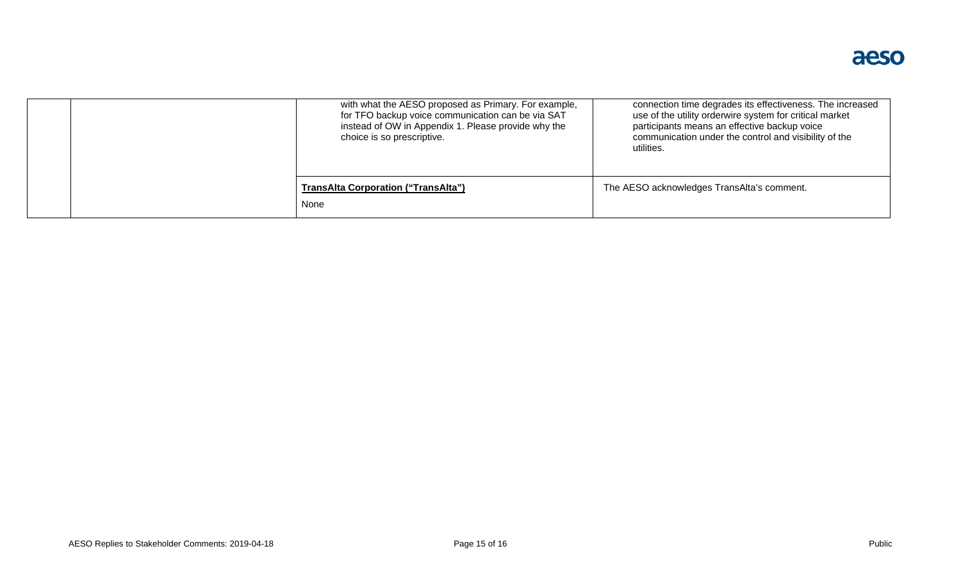| choice is so prescriptive.                         | with what the AESO proposed as Primary. For example,<br>connection time degrades its effectiveness. The increased<br>for TFO backup voice communication can be via SAT<br>use of the utility orderwire system for critical market<br>instead of OW in Appendix 1. Please provide why the<br>participants means an effective backup voice<br>communication under the control and visibility of the<br>utilities. |
|----------------------------------------------------|-----------------------------------------------------------------------------------------------------------------------------------------------------------------------------------------------------------------------------------------------------------------------------------------------------------------------------------------------------------------------------------------------------------------|
| <b>TransAlta Corporation ("TransAlta")</b><br>None | The AESO acknowledges TransAlta's comment.                                                                                                                                                                                                                                                                                                                                                                      |